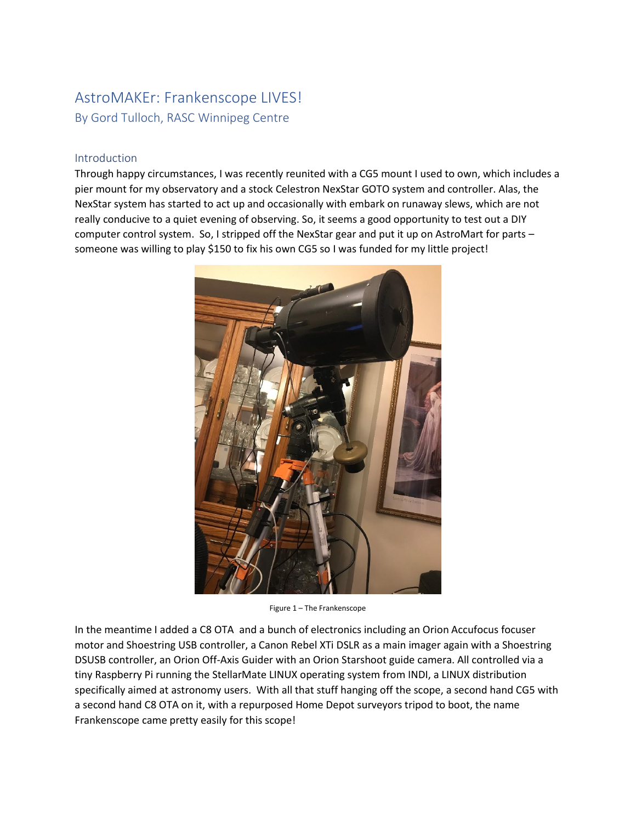# AstroMAKEr: Frankenscope LIVES! By Gord Tulloch, RASC Winnipeg Centre

#### Introduction

Through happy circumstances, I was recently reunited with a CG5 mount I used to own, which includes a pier mount for my observatory and a stock Celestron NexStar GOTO system and controller. Alas, the NexStar system has started to act up and occasionally with embark on runaway slews, which are not really conducive to a quiet evening of observing. So, it seems a good opportunity to test out a DIY computer control system. So, I stripped off the NexStar gear and put it up on AstroMart for parts – someone was willing to play \$150 to fix his own CG5 so I was funded for my little project!



Figure 1 – The Frankenscope

In the meantime I added a C8 OTA and a bunch of electronics including an Orion Accufocus focuser motor and Shoestring USB controller, a Canon Rebel XTi DSLR as a main imager again with a Shoestring DSUSB controller, an Orion Off-Axis Guider with an Orion Starshoot guide camera. All controlled via a tiny Raspberry Pi running the StellarMate LINUX operating system from INDI, a LINUX distribution specifically aimed at astronomy users. With all that stuff hanging off the scope, a second hand CG5 with a second hand C8 OTA on it, with a repurposed Home Depot surveyors tripod to boot, the name Frankenscope came pretty easily for this scope!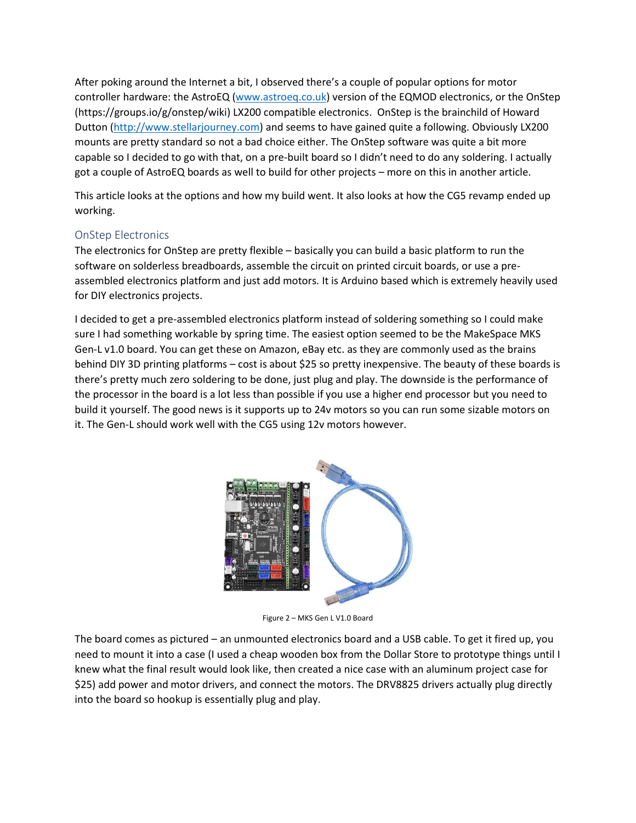After poking around the Internet a bit, I observed there's a couple of popular options for motor controller hardware: the AstroEQ [\(www.astroeq.co.uk\)](http://www.astroeq.co.uk/) version of the EQMOD electronics, or the OnStep (https://groups.io/g/onstep/wiki) LX200 compatible electronics. OnStep is the brainchild of Howard Dutton [\(http://www.stellarjourney.com\)](http://www.stellarjourney.com/) and seems to have gained quite a following. Obviously LX200 mounts are pretty standard so not a bad choice either. The OnStep software was quite a bit more capable so I decided to go with that, on a pre-built board so I didn't need to do any soldering. I actually got a couple of AstroEQ boards as well to build for other projects – more on this in another article.

This article looks at the options and how my build went. It also looks at how the CG5 revamp ended up working.

### OnStep Electronics

The electronics for OnStep are pretty flexible – basically you can build a basic platform to run the software on solderless breadboards, assemble the circuit on printed circuit boards, or use a preassembled electronics platform and just add motors. It is Arduino based which is extremely heavily used for DIY electronics projects.

I decided to get a pre-assembled electronics platform instead of soldering something so I could make sure I had something workable by spring time. The easiest option seemed to be the MakeSpace MKS Gen-L v1.0 board. You can get these on Amazon, eBay etc. as they are commonly used as the brains behind DIY 3D printing platforms – cost is about \$25 so pretty inexpensive. The beauty of these boards is there's pretty much zero soldering to be done, just plug and play. The downside is the performance of the processor in the board is a lot less than possible if you use a higher end processor but you need to build it yourself. The good news is it supports up to 24v motors so you can run some sizable motors on it. The Gen-L should work well with the CG5 using 12v motors however.



Figure 2 – MKS Gen L V1.0 Board

The board comes as pictured – an unmounted electronics board and a USB cable. To get it fired up, you need to mount it into a case (I used a cheap wooden box from the Dollar Store to prototype things until I knew what the final result would look like, then created a nice case with an aluminum project case for \$25) add power and motor drivers, and connect the motors. The DRV8825 drivers actually plug directly into the board so hookup is essentially plug and play.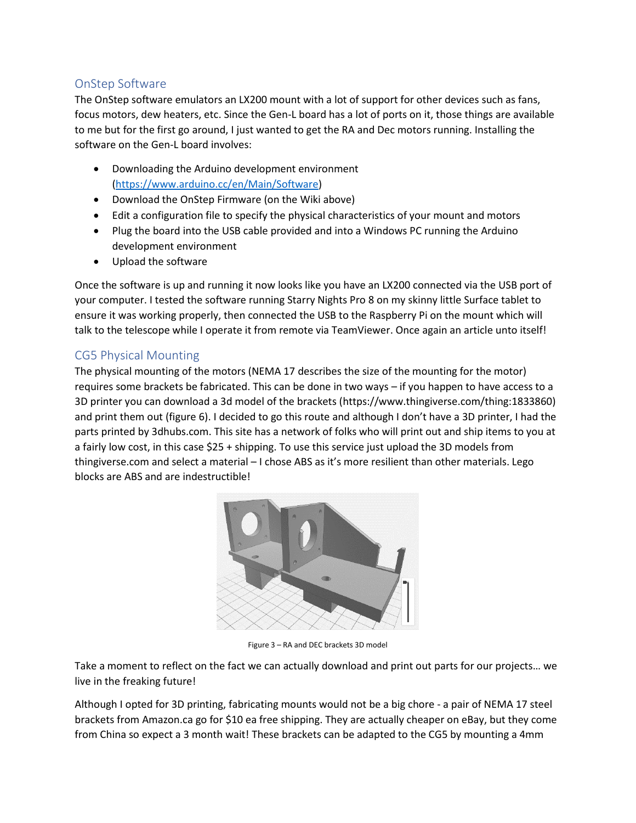# OnStep Software

The OnStep software emulators an LX200 mount with a lot of support for other devices such as fans, focus motors, dew heaters, etc. Since the Gen-L board has a lot of ports on it, those things are available to me but for the first go around, I just wanted to get the RA and Dec motors running. Installing the software on the Gen-L board involves:

- Downloading the Arduino development environment [\(https://www.arduino.cc/en/Main/Software\)](https://www.arduino.cc/en/Main/Software)
- Download the OnStep Firmware (on the Wiki above)
- Edit a configuration file to specify the physical characteristics of your mount and motors
- Plug the board into the USB cable provided and into a Windows PC running the Arduino development environment
- Upload the software

Once the software is up and running it now looks like you have an LX200 connected via the USB port of your computer. I tested the software running Starry Nights Pro 8 on my skinny little Surface tablet to ensure it was working properly, then connected the USB to the Raspberry Pi on the mount which will talk to the telescope while I operate it from remote via TeamViewer. Once again an article unto itself!

## CG5 Physical Mounting

The physical mounting of the motors (NEMA 17 describes the size of the mounting for the motor) requires some brackets be fabricated. This can be done in two ways – if you happen to have access to a 3D printer you can download a 3d model of the brackets (https://www.thingiverse.com/thing:1833860) and print them out (figure 6). I decided to go this route and although I don't have a 3D printer, I had the parts printed by 3dhubs.com. This site has a network of folks who will print out and ship items to you at a fairly low cost, in this case \$25 + shipping. To use this service just upload the 3D models from thingiverse.com and select a material – I chose ABS as it's more resilient than other materials. Lego blocks are ABS and are indestructible!



Figure 3 – RA and DEC brackets 3D model

Take a moment to reflect on the fact we can actually download and print out parts for our projects… we live in the freaking future!

Although I opted for 3D printing, fabricating mounts would not be a big chore - a pair of NEMA 17 steel brackets from Amazon.ca go for \$10 ea free shipping. They are actually cheaper on eBay, but they come from China so expect a 3 month wait! These brackets can be adapted to the CG5 by mounting a 4mm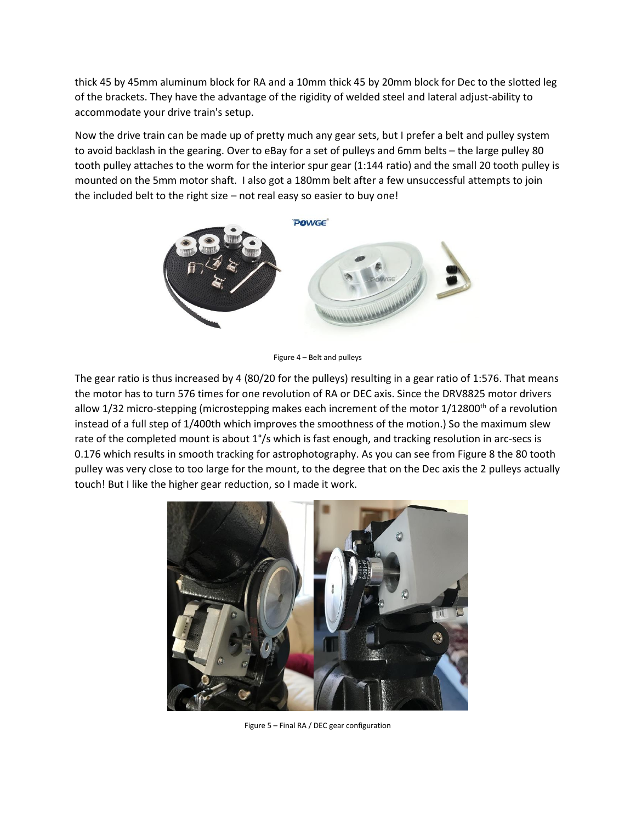thick 45 by 45mm aluminum block for RA and a 10mm thick 45 by 20mm block for Dec to the slotted leg of the brackets. They have the advantage of the rigidity of welded steel and lateral adjust-ability to accommodate your drive train's setup.

Now the drive train can be made up of pretty much any gear sets, but I prefer a belt and pulley system to avoid backlash in the gearing. Over to eBay for a set of pulleys and 6mm belts – the large pulley 80 tooth pulley attaches to the worm for the interior spur gear (1:144 ratio) and the small 20 tooth pulley is mounted on the 5mm motor shaft. I also got a 180mm belt after a few unsuccessful attempts to join the included belt to the right size – not real easy so easier to buy one!



Figure 4 – Belt and pulleys

The gear ratio is thus increased by 4 (80/20 for the pulleys) resulting in a gear ratio of 1:576. That means the motor has to turn 576 times for one revolution of RA or DEC axis. Since the DRV8825 motor drivers allow 1/32 micro-stepping (microstepping makes each increment of the motor 1/12800<sup>th</sup> of a revolution instead of a full step of 1/400th which improves the smoothness of the motion.) So the maximum slew rate of the completed mount is about 1°/s which is fast enough, and tracking resolution in arc-secs is 0.176 which results in smooth tracking for astrophotography. As you can see from Figure 8 the 80 tooth pulley was very close to too large for the mount, to the degree that on the Dec axis the 2 pulleys actually touch! But I like the higher gear reduction, so I made it work.



Figure 5 – Final RA / DEC gear configuration